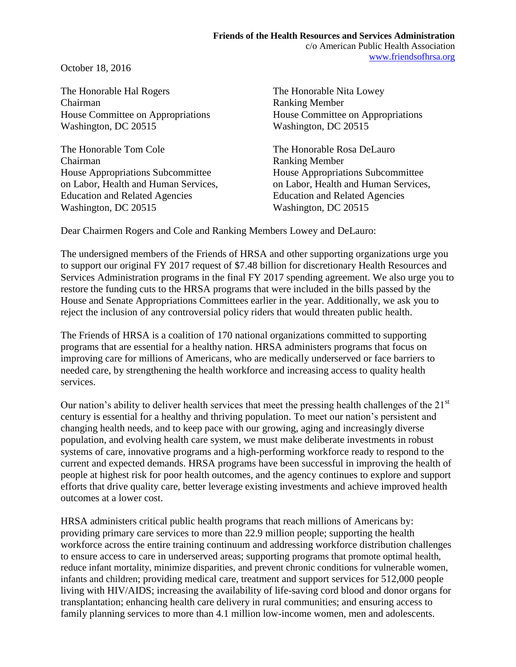October 18, 2016

The Honorable Hal Rogers The Honorable Nita Lowey Chairman Ranking Member House Committee on Appropriations House Committee on Appropriations Washington, DC 20515 Washington, DC 20515

The Honorable Tom Cole The Honorable Rosa DeLauro Chairman Ranking Member House Appropriations Subcommittee House Appropriations Subcommittee on Labor, Health and Human Services, on Labor, Health and Human Services, Education and Related Agencies Education and Related Agencies Washington, DC 20515 Washington, DC 20515

Dear Chairmen Rogers and Cole and Ranking Members Lowey and DeLauro:

The undersigned members of the Friends of HRSA and other supporting organizations urge you to support our original FY 2017 request of \$7.48 billion for discretionary Health Resources and Services Administration programs in the final FY 2017 spending agreement. We also urge you to restore the funding cuts to the HRSA programs that were included in the bills passed by the House and Senate Appropriations Committees earlier in the year. Additionally, we ask you to reject the inclusion of any controversial policy riders that would threaten public health.

The Friends of HRSA is a coalition of 170 national organizations committed to supporting programs that are essential for a healthy nation. HRSA administers programs that focus on improving care for millions of Americans, who are medically underserved or face barriers to needed care, by strengthening the health workforce and increasing access to quality health services.

Our nation's ability to deliver health services that meet the pressing health challenges of the 21<sup>st</sup> century is essential for a healthy and thriving population. To meet our nation's persistent and changing health needs, and to keep pace with our growing, aging and increasingly diverse population, and evolving health care system, we must make deliberate investments in robust systems of care, innovative programs and a high-performing workforce ready to respond to the current and expected demands. HRSA programs have been successful in improving the health of people at highest risk for poor health outcomes, and the agency continues to explore and support efforts that drive quality care, better leverage existing investments and achieve improved health outcomes at a lower cost.

HRSA administers critical public health programs that reach millions of Americans by: providing primary care services to more than 22.9 million people; supporting the health workforce across the entire training continuum and addressing workforce distribution challenges to ensure access to care in underserved areas; supporting programs that promote optimal health, reduce infant mortality, minimize disparities, and prevent chronic conditions for vulnerable women, infants and children; providing medical care, treatment and support services for 512,000 people living with HIV/AIDS; increasing the availability of life-saving cord blood and donor organs for transplantation; enhancing health care delivery in rural communities; and ensuring access to family planning services to more than 4.1 million low-income women, men and adolescents.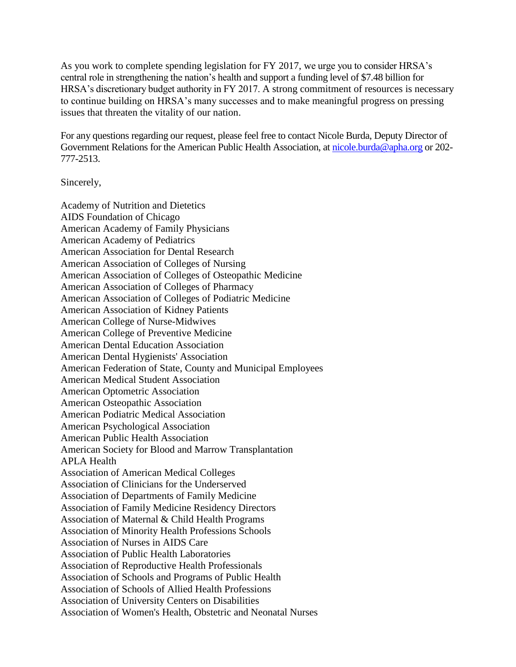As you work to complete spending legislation for FY 2017, we urge you to consider HRSA's central role in strengthening the nation's health and support a funding level of \$7.48 billion for HRSA's discretionary budget authority in FY 2017. A strong commitment of resources is necessary to continue building on HRSA's many successes and to make meaningful progress on pressing issues that threaten the vitality of our nation.

For any questions regarding our request, please feel free to contact Nicole Burda, Deputy Director of Government Relations for the American Public Health Association, at [nicole.burda@apha.org](mailto:nicole.burda@apha.org) or 202-777-2513.

Sincerely,

Academy of Nutrition and Dietetics AIDS Foundation of Chicago American Academy of Family Physicians American Academy of Pediatrics American Association for Dental Research American Association of Colleges of Nursing American Association of Colleges of Osteopathic Medicine American Association of Colleges of Pharmacy American Association of Colleges of Podiatric Medicine American Association of Kidney Patients American College of Nurse-Midwives American College of Preventive Medicine American Dental Education Association American Dental Hygienists' Association American Federation of State, County and Municipal Employees American Medical Student Association American Optometric Association American Osteopathic Association American Podiatric Medical Association American Psychological Association American Public Health Association American Society for Blood and Marrow Transplantation APLA Health Association of American Medical Colleges Association of Clinicians for the Underserved Association of Departments of Family Medicine Association of Family Medicine Residency Directors Association of Maternal & Child Health Programs Association of Minority Health Professions Schools Association of Nurses in AIDS Care Association of Public Health Laboratories Association of Reproductive Health Professionals Association of Schools and Programs of Public Health Association of Schools of Allied Health Professions Association of University Centers on Disabilities Association of Women's Health, Obstetric and Neonatal Nurses